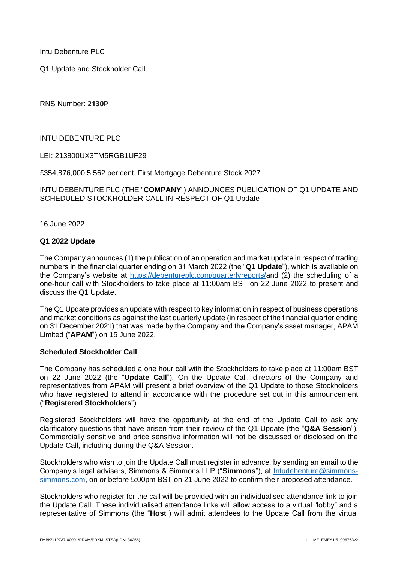Intu Debenture PLC

Q1 Update and Stockholder Call

RNS Number: **2130P**

INTU DEBENTURE PLC

LEI: 213800UX3TM5RGB1UF29

£354,876,000 5.562 per cent. First Mortgage Debenture Stock 2027

INTU DEBENTURE PLC (THE "**COMPANY**") ANNOUNCES PUBLICATION OF Q1 UPDATE AND SCHEDULED STOCKHOLDER CALL IN RESPECT OF Q1 Update

16 June 2022

## **Q1 2022 Update**

The Company announces (1) the publication of an operation and market update in respect of trading numbers in the financial quarter ending on 31 March 2022 (the "**Q1 Update**"), which is available on the Company's website at [https://debentureplc.com/quarterlyreports/a](https://debentureplc.com/quarterlyreports/)nd (2) the scheduling of a one-hour call with Stockholders to take place at 11:00am BST on 22 June 2022 to present and discuss the Q1 Update.

The Q1 Update provides an update with respect to key information in respect of business operations and market conditions as against the last quarterly update (in respect of the financial quarter ending on 31 December 2021) that was made by the Company and the Company's asset manager, APAM Limited ("**APAM**") on 15 June 2022.

## **Scheduled Stockholder Call**

The Company has scheduled a one hour call with the Stockholders to take place at 11:00am BST on 22 June 2022 (the "**Update Call**"). On the Update Call, directors of the Company and representatives from APAM will present a brief overview of the Q1 Update to those Stockholders who have registered to attend in accordance with the procedure set out in this announcement ("**Registered Stockholders**").

Registered Stockholders will have the opportunity at the end of the Update Call to ask any clarificatory questions that have arisen from their review of the Q1 Update (the "**Q&A Session**"). Commercially sensitive and price sensitive information will not be discussed or disclosed on the Update Call, including during the Q&A Session.

Stockholders who wish to join the Update Call must register in advance, by sending an email to the Company's legal advisers, Simmons & Simmons LLP ("**Simmons**"), at [Intudebenture@simmons](mailto:Intudebenture@simmons-simmons.com)[simmons.com,](mailto:Intudebenture@simmons-simmons.com) on or before 5:00pm BST on 21 June 2022 to confirm their proposed attendance.

Stockholders who register for the call will be provided with an individualised attendance link to join the Update Call. These individualised attendance links will allow access to a virtual "lobby" and a representative of Simmons (the "**Host**") will admit attendees to the Update Call from the virtual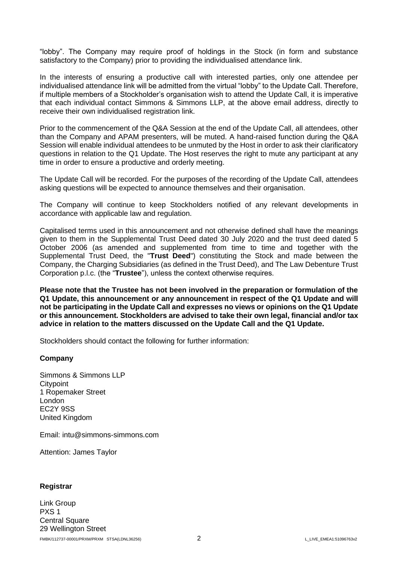"lobby". The Company may require proof of holdings in the Stock (in form and substance satisfactory to the Company) prior to providing the individualised attendance link.

In the interests of ensuring a productive call with interested parties, only one attendee per individualised attendance link will be admitted from the virtual "lobby" to the Update Call. Therefore, if multiple members of a Stockholder's organisation wish to attend the Update Call, it is imperative that each individual contact Simmons & Simmons LLP, at the above email address, directly to receive their own individualised registration link.

Prior to the commencement of the Q&A Session at the end of the Update Call, all attendees, other than the Company and APAM presenters, will be muted. A hand-raised function during the Q&A Session will enable individual attendees to be unmuted by the Host in order to ask their clarificatory questions in relation to the Q1 Update. The Host reserves the right to mute any participant at any time in order to ensure a productive and orderly meeting.

The Update Call will be recorded. For the purposes of the recording of the Update Call, attendees asking questions will be expected to announce themselves and their organisation.

The Company will continue to keep Stockholders notified of any relevant developments in accordance with applicable law and regulation.

Capitalised terms used in this announcement and not otherwise defined shall have the meanings given to them in the Supplemental Trust Deed dated 30 July 2020 and the trust deed dated 5 October 2006 (as amended and supplemented from time to time and together with the Supplemental Trust Deed, the "**Trust Deed**") constituting the Stock and made between the Company, the Charging Subsidiaries (as defined in the Trust Deed), and The Law Debenture Trust Corporation p.l.c. (the "**Trustee**"), unless the context otherwise requires.

**Please note that the Trustee has not been involved in the preparation or formulation of the Q1 Update, this announcement or any announcement in respect of the Q1 Update and will not be participating in the Update Call and expresses no views or opinions on the Q1 Update or this announcement. Stockholders are advised to take their own legal, financial and/or tax advice in relation to the matters discussed on the Update Call and the Q1 Update.** 

Stockholders should contact the following for further information:

## **Company**

Simmons & Simmons LLP **Citypoint** 1 Ropemaker Street London EC2Y 9SS United Kingdom

Email: intu@simmons-simmons.com

Attention: James Taylor

## **Registrar**

FMBK/112737-00001/PRXM/PRXM STSA(LDNL36256) 2 L\_LIVE\_EMEA1:51096763v2 Link Group PXS 1 Central Square 29 Wellington Street